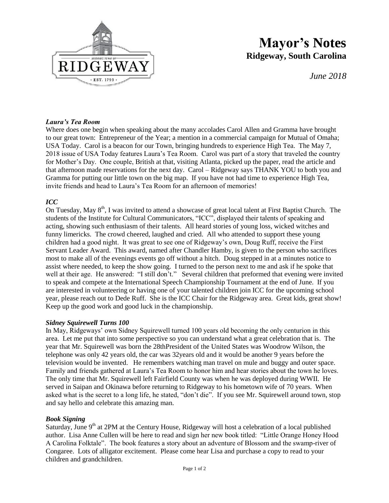

# **Mayor's Notes Ridgeway, South Carolina**

*June 2018*

# *Laura's Tea Room*

Where does one begin when speaking about the many accolades Carol Allen and Gramma have brought to our great town: Entrepreneur of the Year; a mention in a commercial campaign for Mutual of Omaha; USA Today. Carol is a beacon for our Town, bringing hundreds to experience High Tea. The May 7, 2018 issue of USA Today features Laura's Tea Room. Carol was part of a story that traveled the country for Mother's Day. One couple, British at that, visiting Atlanta, picked up the paper, read the article and that afternoon made reservations for the next day. Carol – Ridgeway says THANK YOU to both you and Gramma for putting our little town on the big map. If you have not had time to experience High Tea, invite friends and head to Laura's Tea Room for an afternoon of memories!

### *ICC*

On Tuesday, May  $8<sup>th</sup>$ , I was invited to attend a showcase of great local talent at First Baptist Church. The students of the Institute for Cultural Communicators, "ICC", displayed their talents of speaking and acting, showing such enthusiasm of their talents. All heard stories of young loss, wicked witches and funny limericks. The crowd cheered, laughed and cried. All who attended to support these young children had a good night. It was great to see one of Ridgeway's own, Doug Ruff, receive the First Servant Leader Award. This award, named after Chandler Hamby, is given to the person who sacrifices most to make all of the evenings events go off without a hitch. Doug stepped in at a minutes notice to assist where needed, to keep the show going. I turned to the person next to me and ask if he spoke that well at their age. He answered: "I still don't." Several children that preformed that evening were invited to speak and compete at the International Speech Championship Tournament at the end of June. If you are interested in volunteering or having one of your talented children join ICC for the upcoming school year, please reach out to Dede Ruff. She is the ICC Chair for the Ridgeway area. Great kids, great show! Keep up the good work and good luck in the championship.

#### *Sidney Squirewell Turns 100*

In May, Ridgeways' own Sidney Squirewell turned 100 years old becoming the only centurion in this area. Let me put that into some perspective so you can understand what a great celebration that is. The year that Mr. Squirewell was born the 28thPresident of the United States was Woodrow Wilson, the telephone was only 42 years old, the car was 32years old and it would be another 9 years before the television would be invented. He remembers watching man travel on mule and buggy and outer space. Family and friends gathered at Laura's Tea Room to honor him and hear stories about the town he loves. The only time that Mr. Squirewell left Fairfield County was when he was deployed during WWII. He served in Saipan and Okinawa before returning to Ridgeway to his hometown wife of 70 years. When asked what is the secret to a long life, he stated, "don't die". If you see Mr. Squirewell around town, stop and say hello and celebrate this amazing man.

#### *Book Signing*

Saturday, June 9<sup>th</sup> at 2PM at the Century House, Ridgeway will host a celebration of a local published author. Lisa Anne Cullen will be here to read and sign her new book titled: "Little Orange Honey Hood A Carolina Folktale". The book features a story about an adventure of Blossom and the swamp-river of Congaree. Lots of alligator excitement. Please come hear Lisa and purchase a copy to read to your children and grandchildren.